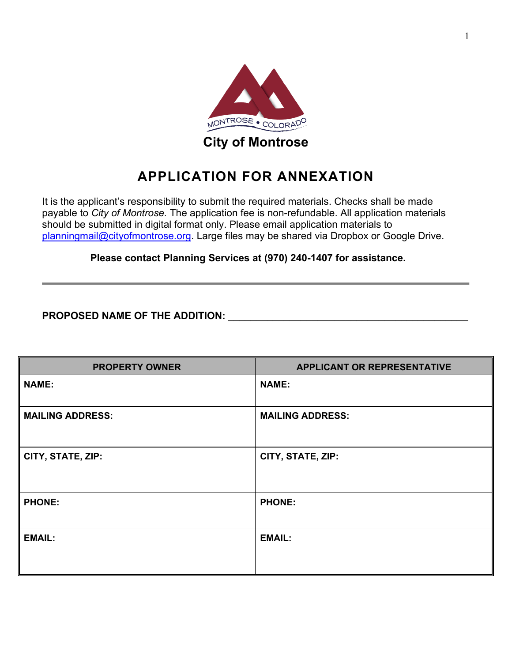

**City of Montrose**

# **APPLICATION FOR ANNEXATION**

It is the applicant's responsibility to submit the required materials. Checks shall be made payable to *City of Montrose.* The application fee is non-refundable. All application materials should be submitted in digital format only. Please email application materials to [planningmail@cityofmontrose.org.](mailto:planningmail@cityofmontrose.org) Large files may be shared via Dropbox or Google Drive.

**Please contact Planning Services at (970) 240-1407 for assistance.**

**PROPOSED NAME OF THE ADDITION:** \_\_\_\_\_\_\_\_\_\_\_\_\_\_\_\_\_\_\_\_\_\_\_\_\_\_\_\_\_\_\_\_\_\_\_\_\_\_\_\_\_\_\_

| <b>PROPERTY OWNER</b>   | <b>APPLICANT OR REPRESENTATIVE</b> |
|-------------------------|------------------------------------|
| <b>NAME:</b>            | <b>NAME:</b>                       |
| <b>MAILING ADDRESS:</b> | <b>MAILING ADDRESS:</b>            |
| CITY, STATE, ZIP:       | CITY, STATE, ZIP:                  |
| <b>PHONE:</b>           | <b>PHONE:</b>                      |
| <b>EMAIL:</b>           | <b>EMAIL:</b>                      |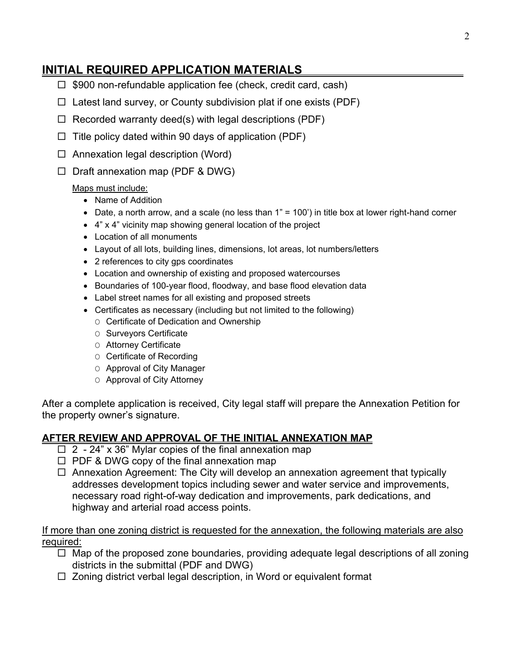## **INITIAL REQUIRED APPLICATION MATERIALS**

- $\Box$  \$900 non-refundable application fee (check, credit card, cash)
- $\Box$  Latest land survey, or County subdivision plat if one exists (PDF)
- $\Box$  Recorded warranty deed(s) with legal descriptions (PDF)
- $\Box$  Title policy dated within 90 days of application (PDF)
- $\Box$  Annexation legal description (Word)
- $\Box$  Draft annexation map (PDF & DWG)

#### Maps must include:

- Name of Addition
- Date, a north arrow, and a scale (no less than  $1" = 100'$ ) in title box at lower right-hand corner
- 4" x 4" vicinity map showing general location of the project
- Location of all monuments
- Layout of all lots, building lines, dimensions, lot areas, lot numbers/letters
- 2 references to city gps coordinates
- Location and ownership of existing and proposed watercourses
- Boundaries of 100-year flood, floodway, and base flood elevation data
- Label street names for all existing and proposed streets
- Certificates as necessary (including but not limited to the following)
	- O Certificate of Dedication and Ownership
	- O Surveyors Certificate
	- O Attorney Certificate
	- O Certificate of Recording
	- O Approval of City Manager
	- O Approval of City Attorney

After a complete application is received, City legal staff will prepare the Annexation Petition for the property owner's signature.

### **AFTER REVIEW AND APPROVAL OF THE INITIAL ANNEXATION MAP**

- $\Box$  2 24" x 36" Mylar copies of the final annexation map
- $\Box$  PDF & DWG copy of the final annexation map
- $\Box$  Annexation Agreement: The City will develop an annexation agreement that typically addresses development topics including sewer and water service and improvements, necessary road right-of-way dedication and improvements, park dedications, and highway and arterial road access points.

If more than one zoning district is requested for the annexation, the following materials are also required:

- $\Box$  Map of the proposed zone boundaries, providing adequate legal descriptions of all zoning districts in the submittal (PDF and DWG)
- $\Box$  Zoning district verbal legal description, in Word or equivalent format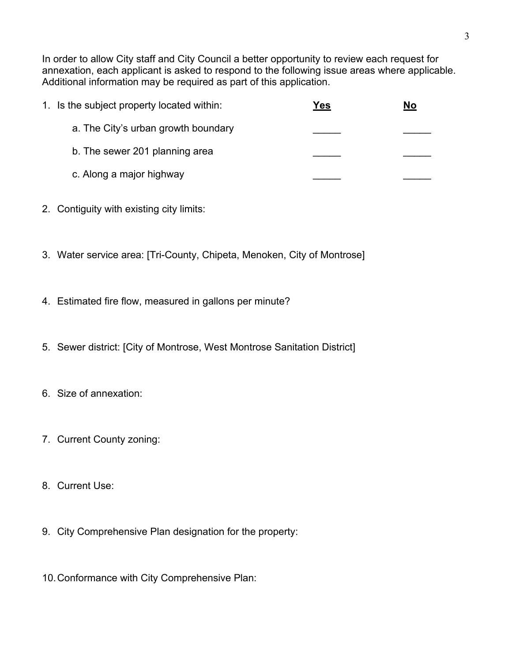In order to allow City staff and City Council a better opportunity to review each request for annexation, each applicant is asked to respond to the following issue areas where applicable. Additional information may be required as part of this application.

| 1. Is the subject property located within: | Yes | No |
|--------------------------------------------|-----|----|
| a. The City's urban growth boundary        |     |    |
| b. The sewer 201 planning area             |     |    |
| c. Along a major highway                   |     |    |

- 2. Contiguity with existing city limits:
- 3. Water service area: [Tri-County, Chipeta, Menoken, City of Montrose]
- 4. Estimated fire flow, measured in gallons per minute?
- 5. Sewer district: [City of Montrose, West Montrose Sanitation District]
- 6. Size of annexation:
- 7. Current County zoning:
- 8. Current Use:
- 9. City Comprehensive Plan designation for the property:
- 10.Conformance with City Comprehensive Plan: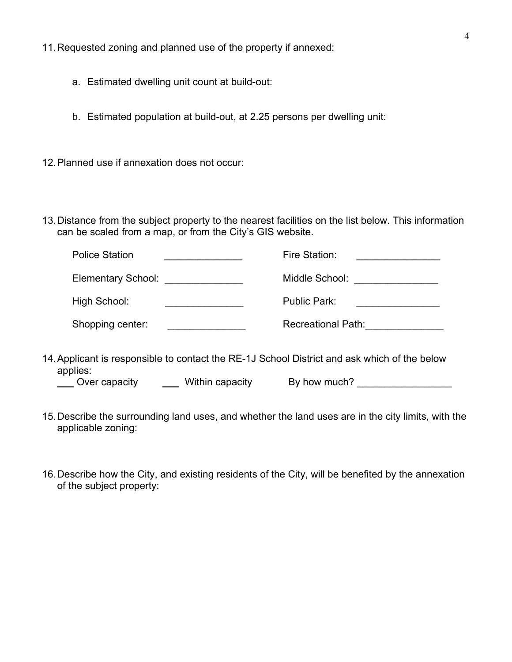11.Requested zoning and planned use of the property if annexed:

- a. Estimated dwelling unit count at build-out:
- b. Estimated population at build-out, at 2.25 persons per dwelling unit:
- 12.Planned use if annexation does not occur:
- 13.Distance from the subject property to the nearest facilities on the list below. This information can be scaled from a map, or from the City's GIS website.

| <b>Police Station</b> | Fire Station:             |
|-----------------------|---------------------------|
| Elementary School:    | Middle School:            |
| High School:          | Public Park:              |
| Shopping center:      | <b>Recreational Path:</b> |

14.Applicant is responsible to contact the RE-1J School District and ask which of the below applies:

**Lackson Cover capacity**  $\qquad \qquad$  **Within capacity By how much?** 

- 15.Describe the surrounding land uses, and whether the land uses are in the city limits, with the applicable zoning:
- 16.Describe how the City, and existing residents of the City, will be benefited by the annexation of the subject property: